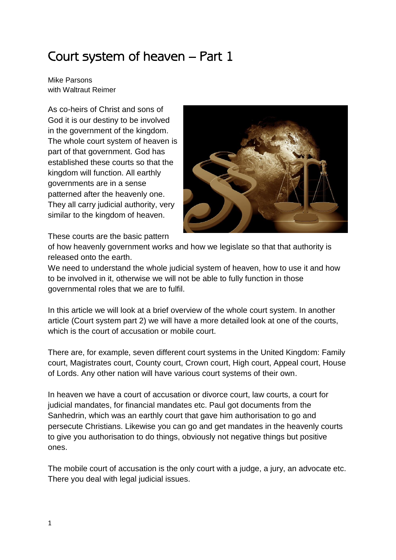## Court system of heaven – Part 1

Mike Parsons with Waltraut Reimer

As co-heirs of Christ and sons of God it is our destiny to be involved in the government of the kingdom. The whole court system of heaven is part of that government. God has established these courts so that the kingdom will function. All earthly governments are in a sense patterned after the heavenly one. They all carry judicial authority, very similar to the kingdom of heaven.



These courts are the basic pattern

of how heavenly government works and how we legislate so that that authority is released onto the earth.

We need to understand the whole judicial system of heaven, how to use it and how to be involved in it, otherwise we will not be able to fully function in those governmental roles that we are to fulfil.

In this article we will look at a brief overview of the whole court system. In another article (Court system part 2) we will have a more detailed look at one of the courts, which is the court of accusation or mobile court.

There are, for example, seven different court systems in the United Kingdom: Family court, Magistrates court, County court, Crown court, High court, Appeal court, House of Lords. Any other nation will have various court systems of their own.

In heaven we have a court of accusation or divorce court, law courts, a court for judicial mandates, for financial mandates etc. Paul got documents from the Sanhedrin, which was an earthly court that gave him authorisation to go and persecute Christians. Likewise you can go and get mandates in the heavenly courts to give you authorisation to do things, obviously not negative things but positive ones.

The mobile court of accusation is the only court with a judge, a jury, an advocate etc. There you deal with legal judicial issues.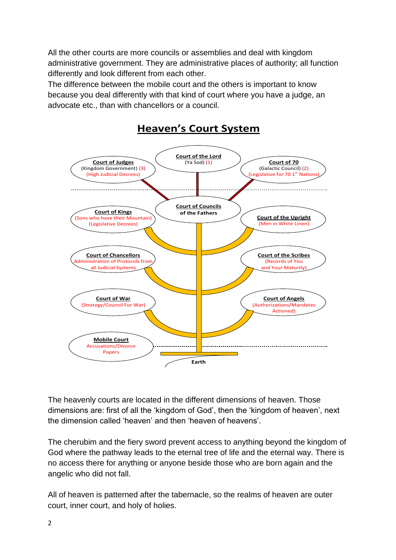All the other courts are more councils or assemblies and deal with kingdom administrative government. They are administrative places of authority; all function differently and look different from each other.

The difference between the mobile court and the others is important to know because you deal differently with that kind of court where you have a judge, an advocate etc., than with chancellors or a council.



## **Heaven's Court System**

The heavenly courts are located in the different dimensions of heaven. Those dimensions are: first of all the 'kingdom of God', then the 'kingdom of heaven', next the dimension called 'heaven' and then 'heaven of heavens'.

The cherubim and the fiery sword prevent access to anything beyond the kingdom of God where the pathway leads to the eternal tree of life and the eternal way. There is no access there for anything or anyone beside those who are born again and the angelic who did not fall.

All of heaven is patterned after the tabernacle, so the realms of heaven are outer court, inner court, and holy of holies.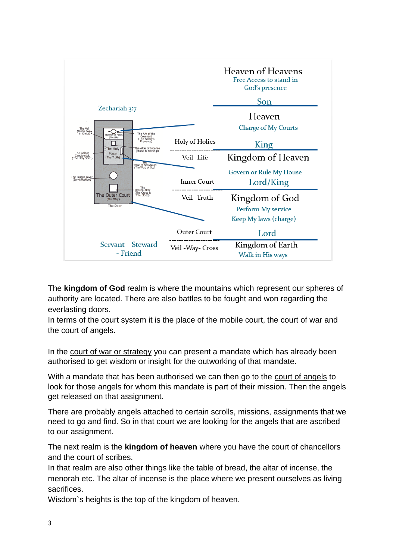

The **kingdom of God** realm is where the mountains which represent our spheres of authority are located. There are also battles to be fought and won regarding the everlasting doors.

In terms of the court system it is the place of the mobile court, the court of war and the court of angels.

In the court of war or strategy you can present a mandate which has already been authorised to get wisdom or insight for the outworking of that mandate.

With a mandate that has been authorised we can then go to the court of angels to look for those angels for whom this mandate is part of their mission. Then the angels get released on that assignment.

There are probably angels attached to certain scrolls, missions, assignments that we need to go and find. So in that court we are looking for the angels that are ascribed to our assignment.

The next realm is the **kingdom of heaven** where you have the court of chancellors and the court of scribes.

In that realm are also other things like the table of bread, the altar of incense, the menorah etc. The altar of incense is the place where we present ourselves as living sacrifices.

Wisdom`s heights is the top of the kingdom of heaven.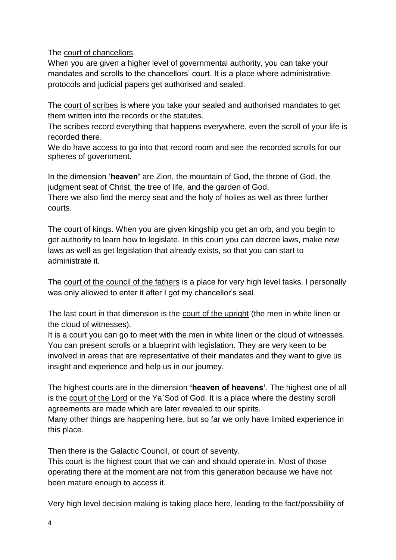The court of chancellors.

When you are given a higher level of governmental authority, you can take your mandates and scrolls to the chancellors' court. It is a place where administrative protocols and judicial papers get authorised and sealed.

The court of scribes is where you take your sealed and authorised mandates to get them written into the records or the statutes.

The scribes record everything that happens everywhere, even the scroll of your life is recorded there.

We do have access to go into that record room and see the recorded scrolls for our spheres of government.

In the dimension '**heaven'** are Zion, the mountain of God, the throne of God, the judgment seat of Christ, the tree of life, and the garden of God.

There we also find the mercy seat and the holy of holies as well as three further courts.

The court of kings. When you are given kingship you get an orb, and you begin to get authority to learn how to legislate. In this court you can decree laws, make new laws as well as get legislation that already exists, so that you can start to administrate it.

The court of the council of the fathers is a place for very high level tasks. I personally was only allowed to enter it after I got my chancellor's seal.

The last court in that dimension is the court of the upright (the men in white linen or the cloud of witnesses).

It is a court you can go to meet with the men in white linen or the cloud of witnesses. You can present scrolls or a blueprint with legislation. They are very keen to be involved in areas that are representative of their mandates and they want to give us insight and experience and help us in our journey.

The highest courts are in the dimension **'heaven of heavens'**. The highest one of all is the court of the Lord or the Ya`Sod of God. It is a place where the destiny scroll agreements are made which are later revealed to our spirits.

Many other things are happening here, but so far we only have limited experience in this place.

Then there is the Galactic Council, or court of seventy.

This court is the highest court that we can and should operate in. Most of those operating there at the moment are not from this generation because we have not been mature enough to access it.

Very high level decision making is taking place here, leading to the fact/possibility of